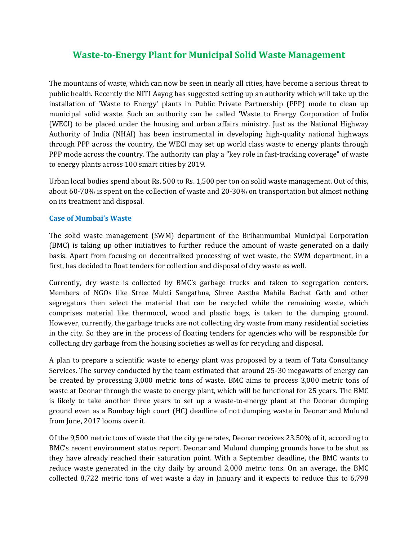## **Waste-to-Energy Plant for Municipal Solid Waste Management**

The mountains of waste, which can now be seen in nearly all cities, have become a serious threat to public health. Recently the NITI Aayog has suggested setting up an authority which will take up the installation of 'Waste to Energy' plants in Public Private Partnership (PPP) mode to clean up municipal solid waste. Such an authority can be called 'Waste to Energy Corporation of India (WECI) to be placed under the housing and urban affairs ministry. Just as the National Highway Authority of India (NHAI) has been instrumental in developing high-quality national highways through PPP across the country, the WECI may set up world class waste to energy plants through PPP mode across the country. The authority can play a "key role in fast-tracking coverage" of waste to energy plants across 100 smart cities by 2019.

Urban local bodies spend about Rs. 500 to Rs. 1,500 per ton on solid waste management. Out of this, about 60-70% is spent on the collection of waste and 20-30% on transportation but almost nothing on its treatment and disposal.

## **Case of Mumbai's Waste**

The solid waste management (SWM) department of the Brihanmumbai Municipal Corporation (BMC) is taking up other initiatives to further reduce the amount of waste generated on a daily basis. Apart from focusing on decentralized processing of wet waste, the SWM department, in a first, has decided to float tenders for collection and disposal of dry waste as well.

Currently, dry waste is collected by BMC's garbage trucks and taken to segregation centers. Members of NGOs like Stree Mukti Sangathna, Shree Aastha Mahila Bachat Gath and other segregators then select the material that can be recycled while the remaining waste, which comprises material like thermocol, wood and plastic bags, is taken to the dumping ground. However, currently, the garbage trucks are not collecting dry waste from many residential societies in the city. So they are in the process of floating tenders for agencies who will be responsible for collecting dry garbage from the housing societies as well as for recycling and disposal.

A plan to prepare a scientific waste to energy plant was proposed by a team of Tata Consultancy Services. The survey conducted by the team estimated that around 25-30 megawatts of energy can be created by processing 3,000 metric tons of waste. BMC aims to process 3,000 metric tons of waste at Deonar through the waste to energy plant, which will be functional for 25 years. The BMC is likely to take another three years to set up a waste-to-energy plant at the Deonar dumping ground even as a Bombay high court (HC) deadline of not dumping waste in Deonar and Mulund from June, 2017 looms over it.

Of the 9,500 metric tons of waste that the city generates, Deonar receives 23.50% of it, according to BMC's recent environment status report. Deonar and Mulund dumping grounds have to be shut as they have already reached their saturation point. With a September deadline, the BMC wants to reduce waste generated in the city daily by around 2,000 metric tons. On an average, the BMC collected 8,722 metric tons of wet waste a day in January and it expects to reduce this to 6,798